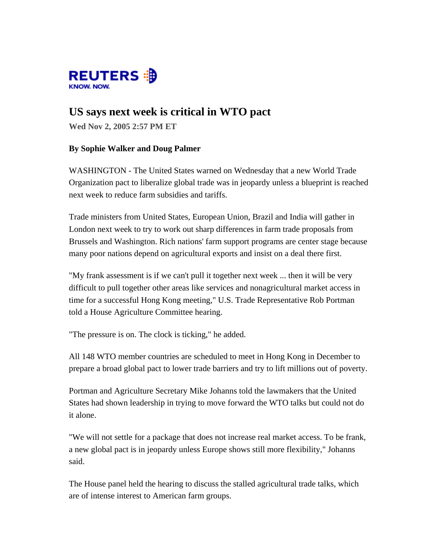

## **US says next week is critical in WTO pact**

**Wed Nov 2, 2005 2:57 PM ET**

## **By Sophie Walker and Doug Palmer**

WASHINGTON - The United States warned on Wednesday that a new World Trade Organization pact to liberalize global trade was in jeopardy unless a blueprint is reached next week to reduce farm subsidies and tariffs.

Trade ministers from United States, European Union, Brazil and India will gather in London next week to try to work out sharp differences in farm trade proposals from Brussels and Washington. Rich nations' farm support programs are center stage because many poor nations depend on agricultural exports and insist on a deal there first.

"My frank assessment is if we can't pull it together next week ... then it will be very difficult to pull together other areas like services and nonagricultural market access in time for a successful Hong Kong meeting," U.S. Trade Representative Rob Portman told a House Agriculture Committee hearing.

"The pressure is on. The clock is ticking," he added.

All 148 WTO member countries are scheduled to meet in Hong Kong in December to prepare a broad global pact to lower trade barriers and try to lift millions out of poverty.

Portman and Agriculture Secretary Mike Johanns told the lawmakers that the United States had shown leadership in trying to move forward the WTO talks but could not do it alone.

"We will not settle for a package that does not increase real market access. To be frank, a new global pact is in jeopardy unless Europe shows still more flexibility," Johanns said.

The House panel held the hearing to discuss the stalled agricultural trade talks, which are of intense interest to American farm groups.